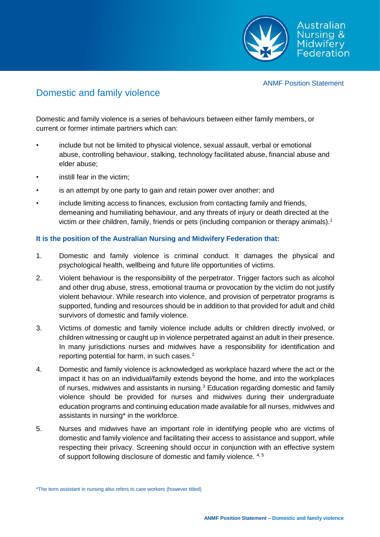

### ANMF Position Statement

# Domestic and family violence

Domestic and family violence is a series of behaviours between either family members, or current or former intimate partners which can:

- include but not be limited to physical violence, sexual assault, verbal or emotional abuse, controlling behaviour, stalking, technology facilitated abuse, financial abuse and elder abuse;
- instill fear in the victim;
- is an attempt by one party to gain and retain power over another; and
- include limiting access to finances, exclusion from contacting family and friends, demeaning and humiliating behaviour, and any threats of injury or death directed at the victim or their children, family, friends or pets (including companion or therapy animals).<sup>1</sup>

## **It is the position of the Australian Nursing and Midwifery Federation that:**

- 1. Domestic and family violence is criminal conduct. It damages the physical and psychological health, wellbeing and future life opportunities of victims.
- 2. Violent behaviour is the responsibility of the perpetrator. Trigger factors such as alcohol and other drug abuse, stress, emotional trauma or provocation by the victim do not justify violent behaviour. While research into violence, and provision of perpetrator programs is supported, funding and resources should be in addition to that provided for adult and child survivors of domestic and family violence.
- 3. Victims of domestic and family violence include adults or children directly involved, or children witnessing or caught up in violence perpetrated against an adult in their presence. In many jurisdictions nurses and midwives have a responsibility for identification and reporting potential for harm, in such cases.<sup>2</sup>
- 4. Domestic and family violence is acknowledged as workplace hazard where the act or the impact it has on an individual/family extends beyond the home, and into the workplaces of nurses, midwives and assistants in nursing.<sup>3</sup> Education regarding domestic and family violence should be provided for nurses and midwives during their undergraduate education programs and continuing education made available for all nurses, midwives and assistants in nursing\* in the workforce.
- 5. Nurses and midwives have an important role in identifying people who are victims of domestic and family violence and facilitating their access to assistance and support, while respecting their privacy. Screening should occur in conjunction with an effective system of support following disclosure of domestic and family violence. 4, 5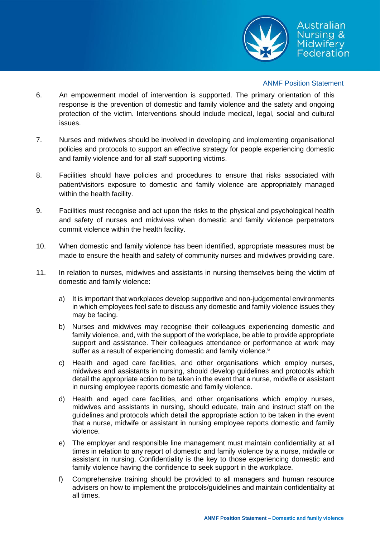

### ANMF Position Statement

- 6. An empowerment model of intervention is supported. The primary orientation of this response is the prevention of domestic and family violence and the safety and ongoing protection of the victim. Interventions should include medical, legal, social and cultural issues.
- 7. Nurses and midwives should be involved in developing and implementing organisational policies and protocols to support an effective strategy for people experiencing domestic and family violence and for all staff supporting victims.
- 8. Facilities should have policies and procedures to ensure that risks associated with patient/visitors exposure to domestic and family violence are appropriately managed within the health facility.
- 9. Facilities must recognise and act upon the risks to the physical and psychological health and safety of nurses and midwives when domestic and family violence perpetrators commit violence within the health facility.
- 10. When domestic and family violence has been identified, appropriate measures must be made to ensure the health and safety of community nurses and midwives providing care.
- 11. In relation to nurses, midwives and assistants in nursing themselves being the victim of domestic and family violence:
	- a) It is important that workplaces develop supportive and non-judgemental environments in which employees feel safe to discuss any domestic and family violence issues they may be facing.
	- b) Nurses and midwives may recognise their colleagues experiencing domestic and family violence, and, with the support of the workplace, be able to provide appropriate support and assistance. Their colleagues attendance or performance at work may suffer as a result of experiencing domestic and family violence.<sup>6</sup>
	- c) Health and aged care facilities, and other organisations which employ nurses, midwives and assistants in nursing, should develop guidelines and protocols which detail the appropriate action to be taken in the event that a nurse, midwife or assistant in nursing employee reports domestic and family violence.
	- d) Health and aged care facilities, and other organisations which employ nurses, midwives and assistants in nursing, should educate, train and instruct staff on the guidelines and protocols which detail the appropriate action to be taken in the event that a nurse, midwife or assistant in nursing employee reports domestic and family violence.
	- e) The employer and responsible line management must maintain confidentiality at all times in relation to any report of domestic and family violence by a nurse, midwife or assistant in nursing. Confidentiality is the key to those experiencing domestic and family violence having the confidence to seek support in the workplace.
	- f) Comprehensive training should be provided to all managers and human resource advisers on how to implement the protocols/guidelines and maintain confidentiality at all times.